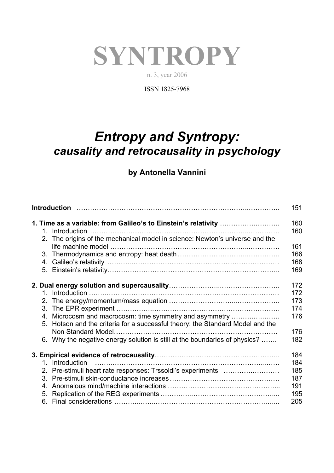## **SYNTROPY**

n. 3, year 2006

ISSN 1825-7968

## *Entropy and Syntropy: causality and retrocausality in psychology*

## **by Antonella Vannini**

| 2. The origins of the mechanical model in science: Newton's universe and the |                                                                                | 151<br>160<br>160 |
|------------------------------------------------------------------------------|--------------------------------------------------------------------------------|-------------------|
|                                                                              |                                                                                |                   |
|                                                                              |                                                                                | 166               |
|                                                                              |                                                                                | 168               |
|                                                                              |                                                                                | 169               |
|                                                                              |                                                                                | 172               |
|                                                                              |                                                                                | 172               |
|                                                                              |                                                                                | 173               |
|                                                                              |                                                                                | 174               |
|                                                                              | 4. Microcosm and macrocosm: time symmetry and asymmetry                        | 176               |
|                                                                              | 5. Hotson and the criteria for a successful theory: the Standard Model and the |                   |
|                                                                              |                                                                                | 176               |
|                                                                              | 6. Why the negative energy solution is still at the boundaries of physics?     | 182               |
|                                                                              |                                                                                | 184               |
|                                                                              | 1. Introduction                                                                | 184               |
|                                                                              | 2. Pre-stimuli heart rate responses: Trssoldi's experiments                    | 185               |
|                                                                              |                                                                                | 187               |
|                                                                              |                                                                                | 191               |
|                                                                              |                                                                                | 195               |
|                                                                              |                                                                                | 205               |